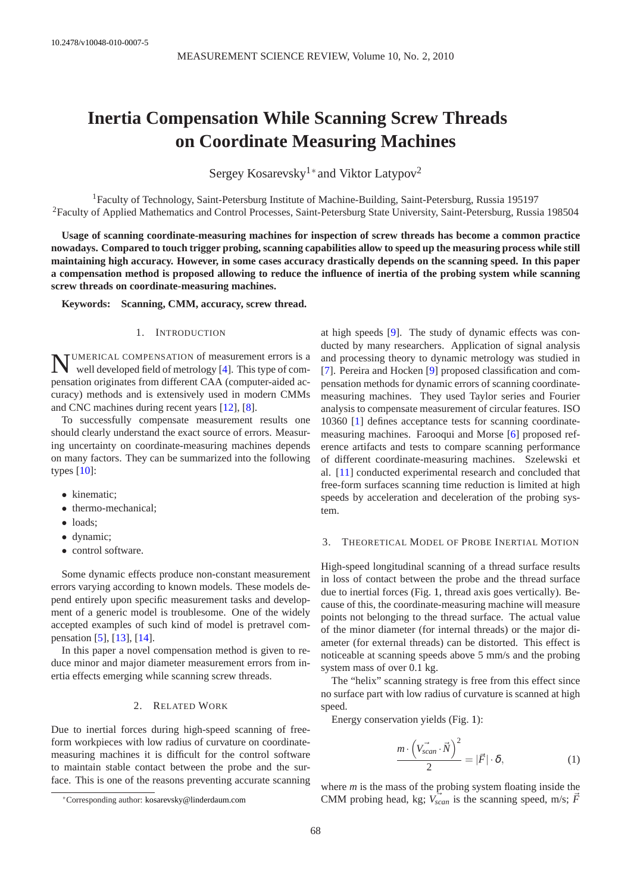# **Inertia Compensation While Scanning Screw Threads on Coordinate Measuring Machines**

Sergey Kosarevsky<sup>1∗</sup> and Viktor Latypov<sup>2</sup>

<sup>1</sup>Faculty of Technology, Saint-Petersburg Institute of Machine-Building, Saint-Petersburg, Russia 195197 <sup>2</sup>Faculty of Applied Mathematics and Control Processes, Saint-Petersburg State University, Saint-Petersburg, Russia 198504

**Usage of scanning coordinate-measuring machines for inspection of screw threads has become a common practice nowadays. Compared to touch trigger probing, scanning capabilities allow to speed up the measuring process while still maintaining high accuracy. However, in some cases accuracy drastically depends on the scanning speed. In this paper a compensation method is proposed allowing to reduce the influence of inertia of the probing system while scanning screw threads on coordinate-measuring machines.**

**Keywords: Scanning, CMM, accuracy, screw thread.**

## 1. INTRODUCTION

N UMERICAL COMPENSATION of measurement errors is a well developed field of metrology [\[4\]](#page-3-0). This type of compensation originates from different CAA (computer-aided accuracy) methods and is extensively used in modern CMMs and CNC machines during recent years [\[12\]](#page-3-1), [\[8\]](#page-3-2).

To successfully compensate measurement results one should clearly understand the exact source of errors. Measuring uncertainty on coordinate-measuring machines depends on many factors. They can be summarized into the following types [\[10\]](#page-3-3):

- kinematic;
- thermo-mechanical;
- loads;
- dynamic;
- control software.

Some dynamic effects produce non-constant measurement errors varying according to known models. These models depend entirely upon specific measurement tasks and development of a generic model is troublesome. One of the widely accepted examples of such kind of model is pretravel compensation [\[5\]](#page-3-4), [\[13\]](#page-3-5), [\[14\]](#page-3-6).

In this paper a novel compensation method is given to reduce minor and major diameter measurement errors from inertia effects emerging while scanning screw threads.

# 2. RELATED WORK

Due to inertial forces during high-speed scanning of freeform workpieces with low radius of curvature on coordinatemeasuring machines it is difficult for the control software to maintain stable contact between the probe and the surface. This is one of the reasons preventing accurate scanning

<sup>∗</sup>Corresponding author: [kosarevsky@linderdaum.com](mailto:kosarevsky@linderdaum.com)

at high speeds [\[9\]](#page-3-7). The study of dynamic effects was conducted by many researchers. Application of signal analysis and processing theory to dynamic metrology was studied in [\[7\]](#page-3-8). Pereira and Hocken [\[9\]](#page-3-7) proposed classification and compensation methods for dynamic errors of scanning coordinatemeasuring machines. They used Taylor series and Fourier analysis to compensate measurement of circular features. ISO 10360 [\[1\]](#page-3-9) defines acceptance tests for scanning coordinatemeasuring machines. Farooqui and Morse [\[6\]](#page-3-10) proposed reference artifacts and tests to compare scanning performance of different coordinate-measuring machines. Szelewski et al. [\[11\]](#page-3-11) conducted experimental research and concluded that free-form surfaces scanning time reduction is limited at high speeds by acceleration and deceleration of the probing system.

## 3. THEORETICAL MODEL OF PROBE INERTIAL MOTION

High-speed longitudinal scanning of a thread surface results in loss of contact between the probe and the thread surface due to inertial forces (Fig. [1,](#page-1-0) thread axis goes vertically). Because of this, the coordinate-measuring machine will measure points not belonging to the thread surface. The actual value of the minor diameter (for internal threads) or the major diameter (for external threads) can be distorted. This effect is noticeable at scanning speeds above 5 mm/s and the probing system mass of over 0.1 kg.

The "helix" scanning strategy is free from this effect since no surface part with low radius of curvature is scanned at high speed.

Energy conservation yields (Fig. [1\)](#page-1-0):

<span id="page-0-0"></span>
$$
\frac{m \cdot (\vec{V_{scan} \cdot N})^2}{2} = |\vec{F}| \cdot \delta,
$$
 (1)

where *m* is the mass of the probing system floating inside the CMM probing head, kg;  $V_{scan}$  is the scanning speed, m/s;  $\vec{F}$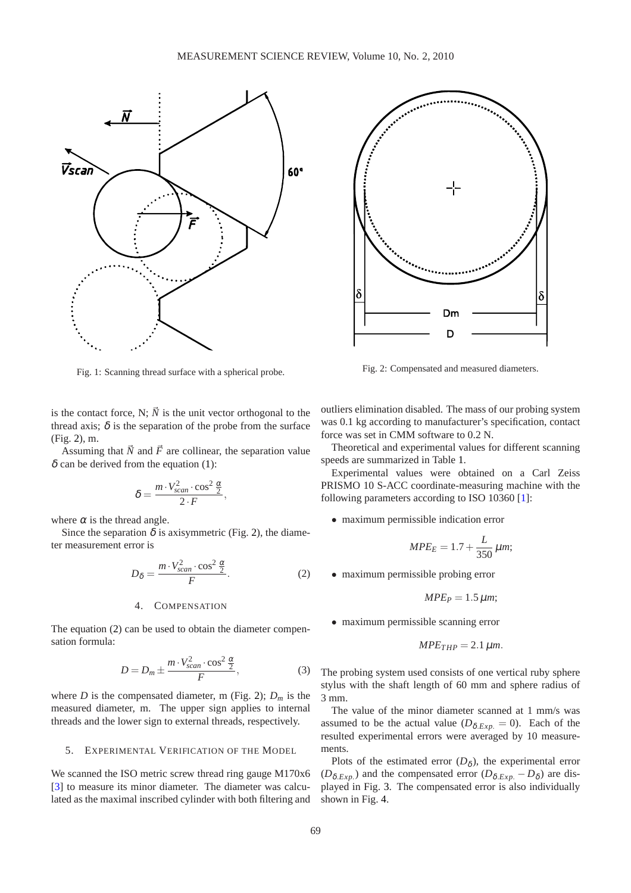<span id="page-1-0"></span>

Fig. 1: Scanning thread surface with a spherical probe.

is the contact force, N;  $\vec{N}$  is the unit vector orthogonal to the thread axis;  $\delta$  is the separation of the probe from the surface (Fig. [2\)](#page-1-1), m.

Assuming that  $\vec{N}$  and  $\vec{F}$  are collinear, the separation value  $\delta$  can be derived from the equation [\(1\)](#page-0-0):

$$
\delta = \frac{m \cdot V_{scan}^2 \cdot \cos^2 \frac{\alpha}{2}}{2 \cdot F},
$$

where  $\alpha$  is the thread angle.

Since the separation  $\delta$  is axisymmetric (Fig. [2\)](#page-1-1), the diameter measurement error is

<span id="page-1-2"></span>
$$
D_{\delta} = \frac{m \cdot V_{scan}^2 \cdot \cos^2 \frac{\alpha}{2}}{F}.
$$
 (2)

## 4. COMPENSATION

The equation [\(2\)](#page-1-2) can be used to obtain the diameter compensation formula:

<span id="page-1-3"></span>
$$
D = D_m \pm \frac{m \cdot V_{scan}^2 \cdot \cos^2 \frac{\alpha}{2}}{F},\tag{3}
$$

where *D* is the compensated diameter, m (Fig. [2\)](#page-1-1);  $D_m$  is the measured diameter, m. The upper sign applies to internal threads and the lower sign to external threads, respectively.

## 5. EXPERIMENTAL VERIFICATION OF THE MODEL

We scanned the ISO metric screw thread ring gauge M170x6 [\[3\]](#page-3-12) to measure its minor diameter. The diameter was calculated as the maximal inscribed cylinder with both filtering and

<span id="page-1-1"></span>

Fig. 2: Compensated and measured diameters.

outliers elimination disabled. The mass of our probing system was 0.1 kg according to manufacturer's specification, contact force was set in CMM software to 0.2 N.

Theoretical and experimental values for different scanning speeds are summarized in Table [1.](#page-2-0)

Experimental values were obtained on a Carl Zeiss PRISMO 10 S-ACC coordinate-measuring machine with the following parameters according to ISO 10360 [\[1\]](#page-3-9):

• maximum permissible indication error

$$
MPE_E = 1.7 + \frac{L}{350} \mu m;
$$

• maximum permissible probing error

$$
MPE_P=1.5 \,\mu m;
$$

• maximum permissible scanning error

$$
MPE_{THP} = 2.1 \,\mu m.
$$

The probing system used consists of one vertical ruby sphere stylus with the shaft length of 60 mm and sphere radius of 3 mm.

The value of the minor diameter scanned at 1 mm/s was assumed to be the actual value  $(D_{\delta, Exp.} = 0)$ . Each of the resulted experimental errors were averaged by 10 measurements.

Plots of the estimated error  $(D_{\delta})$ , the experimental error  $(D_{\delta, Exp.})$  and the compensated error  $(D_{\delta, Exp.} - D_{\delta})$  are displayed in Fig. [3.](#page-2-1) The compensated error is also individually shown in Fig. [4.](#page-3-13)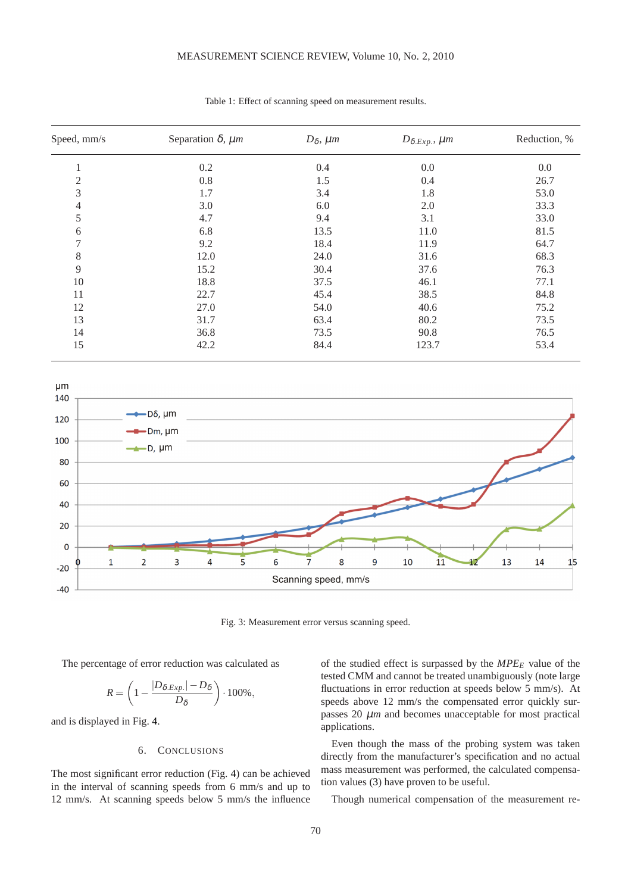# MEASUREMENT SCIENCE REVIEW, Volume 10, No. 2, 2010

<span id="page-2-0"></span>

| Speed, mm/s    | Separation $\delta$ , $\mu$ m | $D_{\delta}$ , $\mu$ m | $D_{\delta, Exp.}$ , $\mu$ m | Reduction, % |
|----------------|-------------------------------|------------------------|------------------------------|--------------|
| л.             | 0.2                           | 0.4                    | 0.0                          | 0.0          |
| $\mathfrak{2}$ | 0.8                           | 1.5                    | 0.4                          | 26.7         |
| 3              | 1.7                           | 3.4                    | 1.8                          | 53.0         |
| 4              | 3.0                           | 6.0                    | 2.0                          | 33.3         |
| 5              | 4.7                           | 9.4                    | 3.1                          | 33.0         |
| 6              | 6.8                           | 13.5                   | 11.0                         | 81.5         |
| 7              | 9.2                           | 18.4                   | 11.9                         | 64.7         |
| 8              | 12.0                          | 24.0                   | 31.6                         | 68.3         |
| 9              | 15.2                          | 30.4                   | 37.6                         | 76.3         |
| 10             | 18.8                          | 37.5                   | 46.1                         | 77.1         |
| 11             | 22.7                          | 45.4                   | 38.5                         | 84.8         |
| 12             | 27.0                          | 54.0                   | 40.6                         | 75.2         |
| 13             | 31.7                          | 63.4                   | 80.2                         | 73.5         |
| 14             | 36.8                          | 73.5                   | 90.8                         | 76.5         |
| 15             | 42.2                          | 84.4                   | 123.7                        | 53.4         |

Table 1: Effect of scanning speed on measurement results.

<span id="page-2-1"></span>

Fig. 3: Measurement error versus scanning speed.

The percentage of error reduction was calculated as

$$
R = \left(1 - \frac{|D_{\delta, Exp.}|-D_{\delta}}{D_{\delta}}\right) \cdot 100\%,
$$

and is displayed in Fig. [4.](#page-3-13)

# 6. CONCLUSIONS

The most significant error reduction (Fig. [4\)](#page-3-13) can be achieved in the interval of scanning speeds from 6 mm/s and up to 12 mm/s. At scanning speeds below 5 mm/s the influence of the studied effect is surpassed by the *MPE<sup>E</sup>* value of the tested CMM and cannot be treated unambiguously (note large fluctuations in error reduction at speeds below 5 mm/s). At speeds above 12 mm/s the compensated error quickly surpasses 20  $\mu$ *m* and becomes unacceptable for most practical applications.

Even though the mass of the probing system was taken directly from the manufacturer's specification and no actual mass measurement was performed, the calculated compensation values [\(3\)](#page-1-3) have proven to be useful.

Though numerical compensation of the measurement re-